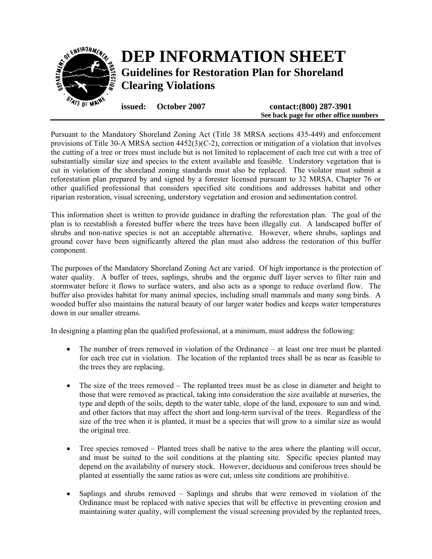

Pursuant to the Mandatory Shoreland Zoning Act (Title 38 MRSA sections 435-449) and enforcement provisions of Title 30-A MRSA section 4452(3)(C-2), correction or mitigation of a violation that involves the cutting of a tree or trees must include but is not limited to replacement of each tree cut with a tree of substantially similar size and species to the extent available and feasible. Understory vegetation that is cut in violation of the shoreland zoning standards must also be replaced. The violator must submit a reforestation plan prepared by and signed by a forester licensed pursuant to 32 MRSA, Chapter 76 or other qualified professional that considers specified site conditions and addresses habitat and other riparian restoration, visual screening, understory vegetation and erosion and sedimentation control.

This information sheet is written to provide guidance in drafting the reforestation plan. The goal of the plan is to reestablish a forested buffer where the trees have been illegally cut. A landscaped buffer of shrubs and non-native species is not an acceptable alternative. However, where shrubs, saplings and ground cover have been significantly altered the plan must also address the restoration of this buffer component.

The purposes of the Mandatory Shoreland Zoning Act are varied. Of high importance is the protection of water quality. A buffer of trees, saplings, shrubs and the organic duff layer serves to filter rain and stormwater before it flows to surface waters, and also acts as a sponge to reduce overland flow. The buffer also provides habitat for many animal species, including small mammals and many song birds. A wooded buffer also maintains the natural beauty of our larger water bodies and keeps water temperatures down in our smaller streams.

In designing a planting plan the qualified professional, at a minimum, must address the following:

- The number of trees removed in violation of the Ordinance at least one tree must be planted for each tree cut in violation. The location of the replanted trees shall be as near as feasible to the trees they are replacing.
- The size of the trees removed The replanted trees must be as close in diameter and height to those that were removed as practical, taking into consideration the size available at nurseries, the type and depth of the soils, depth to the water table, slope of the land, exposure to sun and wind, and other factors that may affect the short and long-term survival of the trees. Regardless of the size of the tree when it is planted, it must be a species that will grow to a similar size as would the original tree.
- Tree species removed Planted trees shall be native to the area where the planting will occur, and must be suited to the soil conditions at the planting site. Specific species planted may depend on the availability of nursery stock. However, deciduous and coniferous trees should be planted at essentially the same ratios as were cut, unless site conditions are prohibitive.
- Saplings and shrubs removed Saplings and shrubs that were removed in violation of the Ordinance must be replaced with native species that will be effective in preventing erosion and maintaining water quality, will complement the visual screening provided by the replanted trees,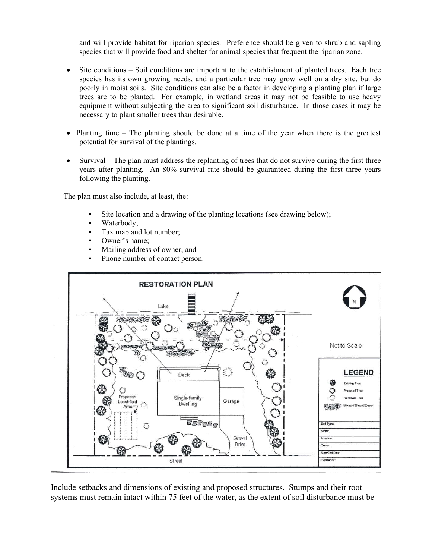and will provide habitat for riparian species. Preference should be given to shrub and sapling species that will provide food and shelter for animal species that frequent the riparian zone.

- Site conditions Soil conditions are important to the establishment of planted trees. Each tree species has its own growing needs, and a particular tree may grow well on a dry site, but do poorly in moist soils. Site conditions can also be a factor in developing a planting plan if large trees are to be planted. For example, in wetland areas it may not be feasible to use heavy equipment without subjecting the area to significant soil disturbance. In those cases it may be necessary to plant smaller trees than desirable.
- Planting time The planting should be done at a time of the year when there is the greatest potential for survival of the plantings.
- Survival The plan must address the replanting of trees that do not survive during the first three years after planting. An 80% survival rate should be guaranteed during the first three years following the planting.

The plan must also include, at least, the:

- Site location and a drawing of the planting locations (see drawing below);
- Waterbody;
- Tax map and lot number;
- Owner's name;
- Mailing address of owner; and
- Phone number of contact person.



Include setbacks and dimensions of existing and proposed structures. Stumps and their root systems must remain intact within 75 feet of the water, as the extent of soil disturbance must be